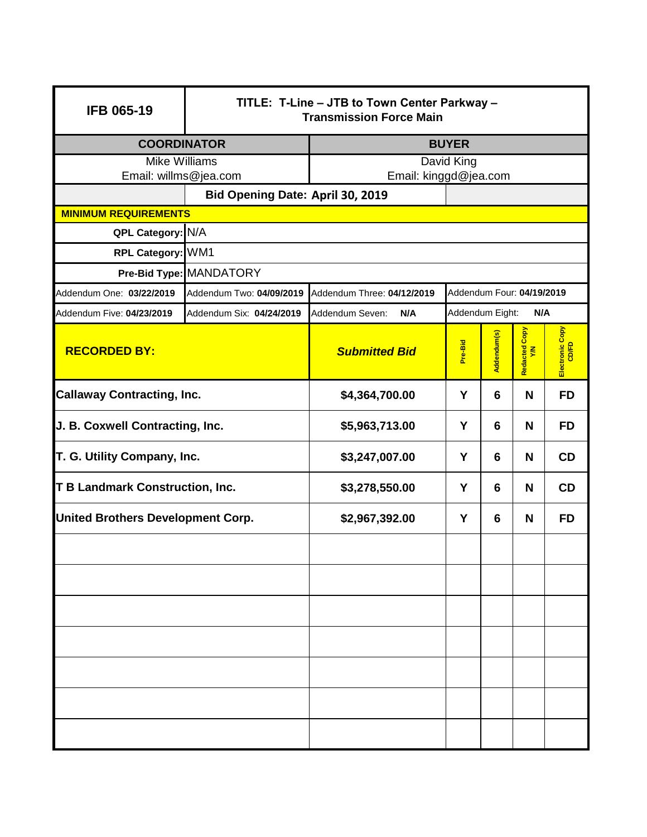| <b>IFB 065-19</b>                                         | TITLE: T-Line - JTB to Town Center Parkway -<br><b>Transmission Force Main</b> |                            |                           |             |                    |                          |
|-----------------------------------------------------------|--------------------------------------------------------------------------------|----------------------------|---------------------------|-------------|--------------------|--------------------------|
| <b>COORDINATOR</b>                                        |                                                                                | <b>BUYER</b>               |                           |             |                    |                          |
| <b>Mike Williams</b>                                      |                                                                                | David King                 |                           |             |                    |                          |
| Email: willms@jea.com<br>Bid Opening Date: April 30, 2019 |                                                                                | Email: kinggd@jea.com      |                           |             |                    |                          |
| <b>MINIMUM REQUIREMENTS</b>                               |                                                                                |                            |                           |             |                    |                          |
| QPL Category: N/A                                         |                                                                                |                            |                           |             |                    |                          |
| RPL Category: WM1                                         |                                                                                |                            |                           |             |                    |                          |
|                                                           | Pre-Bid Type: MANDATORY                                                        |                            |                           |             |                    |                          |
| Addendum One: 03/22/2019                                  | Addendum Two: 04/09/2019                                                       | Addendum Three: 04/12/2019 | Addendum Four: 04/19/2019 |             |                    |                          |
| Addendum Five: 04/23/2019                                 | Addendum Six: 04/24/2019                                                       | Addendum Seven:<br>N/A     | Addendum Eight:           |             | N/A                |                          |
| <b>RECORDED BY:</b>                                       |                                                                                | <b>Submitted Bid</b>       | Pre-Bid                   | Addendum(s) | Copy<br>Redacted C | Electronic Copy<br>CD/FD |
| <b>Callaway Contracting, Inc.</b>                         |                                                                                | \$4,364,700.00             | Y                         | 6           | N                  | <b>FD</b>                |
| J. B. Coxwell Contracting, Inc.                           |                                                                                | \$5,963,713.00             | Y                         | 6           | N                  | <b>FD</b>                |
| T. G. Utility Company, Inc.                               |                                                                                | \$3,247,007.00             | Y                         | 6           | N                  | <b>CD</b>                |
| <b>T B Landmark Construction, Inc.</b>                    |                                                                                | \$3,278,550.00             | Y                         | 6           | N                  | <b>CD</b>                |
| <b>United Brothers Development Corp.</b>                  |                                                                                | \$2,967,392.00             | Y                         | 6           | N                  | <b>FD</b>                |
|                                                           |                                                                                |                            |                           |             |                    |                          |
|                                                           |                                                                                |                            |                           |             |                    |                          |
|                                                           |                                                                                |                            |                           |             |                    |                          |
|                                                           |                                                                                |                            |                           |             |                    |                          |
|                                                           |                                                                                |                            |                           |             |                    |                          |
|                                                           |                                                                                |                            |                           |             |                    |                          |
|                                                           |                                                                                |                            |                           |             |                    |                          |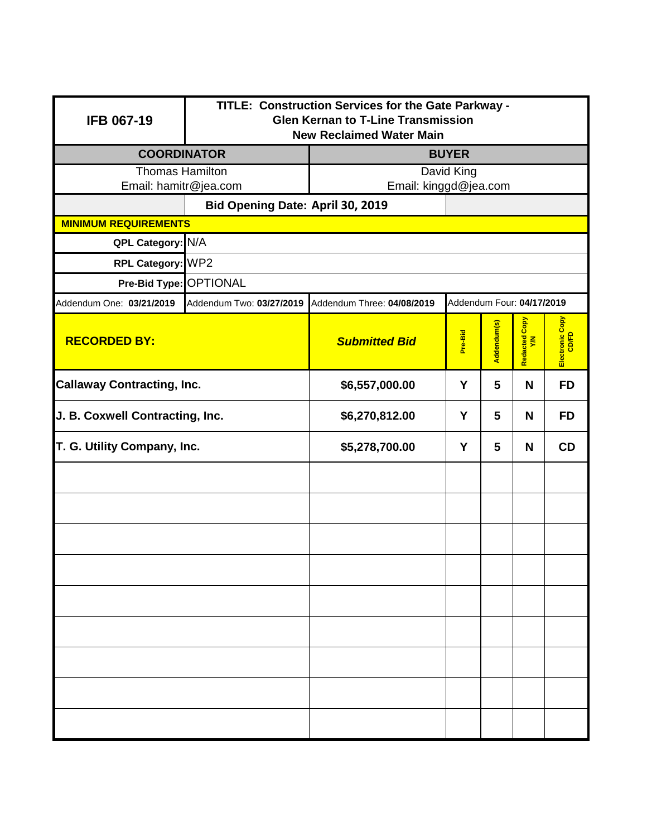| <b>IFB 067-19</b>                                | TITLE: Construction Services for the Gate Parkway -<br><b>Glen Kernan to T-Line Transmission</b><br><b>New Reclaimed Water Main</b> |                                  |                           |             |                     |                 |  |
|--------------------------------------------------|-------------------------------------------------------------------------------------------------------------------------------------|----------------------------------|---------------------------|-------------|---------------------|-----------------|--|
| <b>COORDINATOR</b>                               |                                                                                                                                     | <b>BUYER</b>                     |                           |             |                     |                 |  |
| <b>Thomas Hamilton</b>                           |                                                                                                                                     |                                  | David King                |             |                     |                 |  |
| Email: hamitr@jea.com                            |                                                                                                                                     |                                  | Email: kinggd@jea.com     |             |                     |                 |  |
|                                                  |                                                                                                                                     | Bid Opening Date: April 30, 2019 |                           |             |                     |                 |  |
| <b>MINIMUM REQUIREMENTS</b><br>QPL Category: N/A |                                                                                                                                     |                                  |                           |             |                     |                 |  |
| RPL Category: WP2                                |                                                                                                                                     |                                  |                           |             |                     |                 |  |
| Pre-Bid Type: OPTIONAL                           |                                                                                                                                     |                                  |                           |             |                     |                 |  |
| Addendum One: 03/21/2019                         | Addendum Two: 03/27/2019                                                                                                            | Addendum Three: 04/08/2019       | Addendum Four: 04/17/2019 |             |                     |                 |  |
| <b>RECORDED BY:</b><br><b>Submitted Bid</b>      |                                                                                                                                     |                                  | Pre-Bid                   | Addendum(s) | Redacted Copy<br>YM | Electronic Copy |  |
| <b>Callaway Contracting, Inc.</b>                |                                                                                                                                     | \$6,557,000.00                   | Y                         | 5           | N                   | <b>FD</b>       |  |
| J. B. Coxwell Contracting, Inc.                  |                                                                                                                                     | \$6,270,812.00                   | Y                         | 5           | N                   | <b>FD</b>       |  |
| T. G. Utility Company, Inc.                      |                                                                                                                                     | \$5,278,700.00                   | Y                         | 5           | N                   | CD              |  |
|                                                  |                                                                                                                                     |                                  |                           |             |                     |                 |  |
|                                                  |                                                                                                                                     |                                  |                           |             |                     |                 |  |
|                                                  |                                                                                                                                     |                                  |                           |             |                     |                 |  |
|                                                  |                                                                                                                                     |                                  |                           |             |                     |                 |  |
|                                                  |                                                                                                                                     |                                  |                           |             |                     |                 |  |
|                                                  |                                                                                                                                     |                                  |                           |             |                     |                 |  |
|                                                  |                                                                                                                                     |                                  |                           |             |                     |                 |  |
|                                                  |                                                                                                                                     |                                  |                           |             |                     |                 |  |
|                                                  |                                                                                                                                     |                                  |                           |             |                     |                 |  |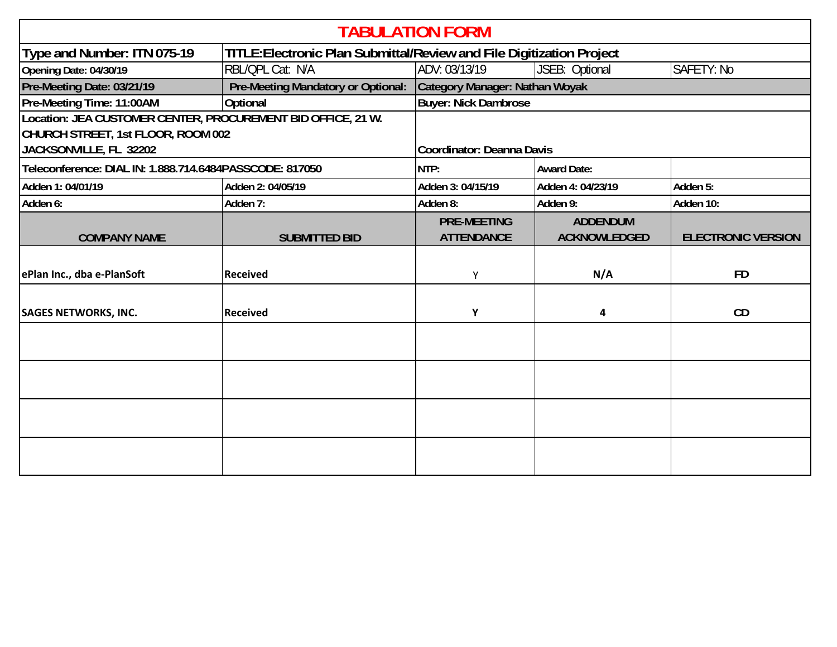| <b>TABULATION FORM</b>                                       |                                    |                                                                       |                     |                           |  |
|--------------------------------------------------------------|------------------------------------|-----------------------------------------------------------------------|---------------------|---------------------------|--|
| Type and Number: ITN 075-19                                  |                                    | TITLE: Electronic Plan Submittal/Review and File Digitization Project |                     |                           |  |
| Opening Date: 04/30/19                                       | RBL/QPL Cat: N/A                   | ADV: 03/13/19                                                         | JSEB: Optional      | SAFETY: No                |  |
| Pre-Meeting Date: 03/21/19                                   | Pre-Meeting Mandatory or Optional: | Category Manager: Nathan Woyak                                        |                     |                           |  |
| Pre-Meeting Time: 11:00AM                                    | Optional                           | <b>Buyer: Nick Dambrose</b>                                           |                     |                           |  |
| Location: JEA CUSTOMER CENTER, PROCUREMENT BID OFFICE, 21 W. |                                    |                                                                       |                     |                           |  |
| CHURCH STREET, 1st FLOOR, ROOM 002                           |                                    |                                                                       |                     |                           |  |
| JACKSONVILLE, FL 32202                                       |                                    | Coordinator: Deanna Davis                                             |                     |                           |  |
| Teleconference: DIAL IN: 1.888.714.6484PASSCODE: 817050      |                                    | NTP:                                                                  | <b>Award Date:</b>  |                           |  |
| Adden 1: 04/01/19                                            | Adden 2: 04/05/19                  | Adden 3: 04/15/19                                                     | Adden 4: 04/23/19   | Adden 5:                  |  |
| Adden 6:                                                     | Adden 7:                           | Adden 8:                                                              | Adden 9:            | Adden 10:                 |  |
|                                                              |                                    | <b>PRE-MEETING</b>                                                    | <b>ADDENDUM</b>     |                           |  |
| <b>COMPANY NAME</b>                                          | <b>SUBMITTED BID</b>               | <b>ATTENDANCE</b>                                                     | <b>ACKNOWLEDGED</b> | <b>ELECTRONIC VERSION</b> |  |
|                                                              |                                    |                                                                       |                     |                           |  |
| ePlan Inc., dba e-PlanSoft                                   | <b>Received</b>                    | Y                                                                     | N/A                 | <b>FD</b>                 |  |
|                                                              |                                    |                                                                       |                     |                           |  |
| <b>SAGES NETWORKS, INC.</b>                                  | <b>Received</b>                    | Υ                                                                     | 4                   | CD                        |  |
|                                                              |                                    |                                                                       |                     |                           |  |
|                                                              |                                    |                                                                       |                     |                           |  |
|                                                              |                                    |                                                                       |                     |                           |  |
|                                                              |                                    |                                                                       |                     |                           |  |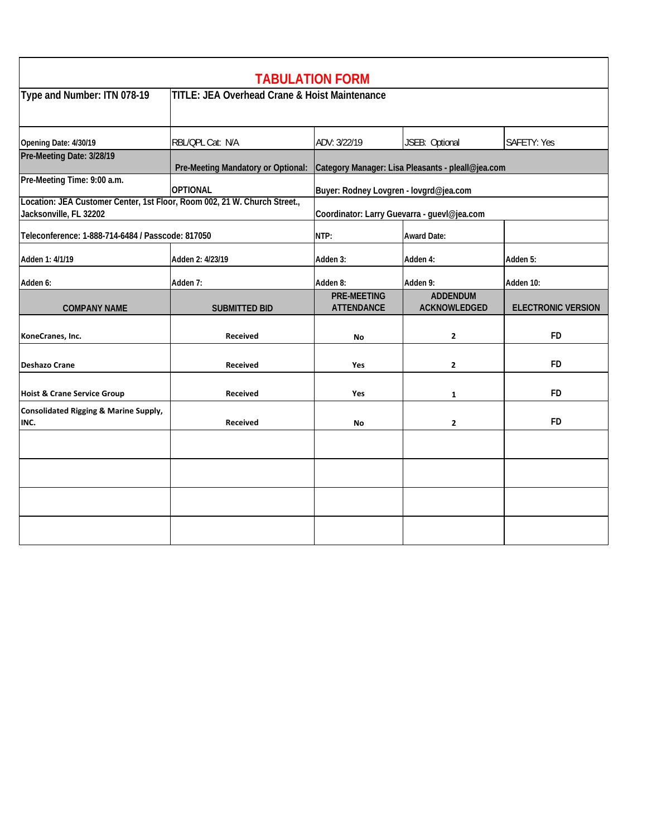| <b>TABULATION FORM</b>                                                                              |                                                          |                                                   |                                        |                           |  |
|-----------------------------------------------------------------------------------------------------|----------------------------------------------------------|---------------------------------------------------|----------------------------------------|---------------------------|--|
| Type and Number: ITN 078-19                                                                         | <b>TITLE: JEA Overhead Crane &amp; Hoist Maintenance</b> |                                                   |                                        |                           |  |
| Opening Date: 4/30/19                                                                               | RBL/QPL Cat: N/A                                         | ADV: 3/22/19                                      | JSEB: Optional                         | SAFETY: Yes               |  |
| Pre-Meeting Date: 3/28/19                                                                           | Pre-Meeting Mandatory or Optional:                       | Category Manager: Lisa Pleasants - pleall@jea.com |                                        |                           |  |
| Pre-Meeting Time: 9:00 a.m.                                                                         | <b>OPTIONAL</b>                                          | Buyer: Rodney Lovgren - lovgrd@jea.com            |                                        |                           |  |
| Location: JEA Customer Center, 1st Floor, Room 002, 21 W. Church Street.,<br>Jacksonville, FL 32202 | Coordinator: Larry Guevarra - guevl@jea.com              |                                                   |                                        |                           |  |
| Teleconference: 1-888-714-6484 / Passcode: 817050                                                   |                                                          | NTP:                                              | <b>Award Date:</b>                     |                           |  |
| Adden 1: 4/1/19                                                                                     | Adden 2: 4/23/19                                         | Adden 3:                                          | Adden 4:                               | Adden 5:                  |  |
| Adden 6:                                                                                            | Adden 7:                                                 | Adden 8:                                          | Adden 9:                               | Adden 10:                 |  |
| <b>COMPANY NAME</b>                                                                                 | <b>SUBMITTED BID</b>                                     | <b>PRE-MEETING</b><br><b>ATTENDANCE</b>           | <b>ADDENDUM</b><br><b>ACKNOWLEDGED</b> | <b>ELECTRONIC VERSION</b> |  |
| KoneCranes, Inc.                                                                                    | Received                                                 | <b>No</b>                                         | $\mathbf{z}$                           | <b>FD</b>                 |  |
| <b>Deshazo Crane</b>                                                                                | <b>Received</b>                                          | Yes                                               | $\mathbf{2}$                           | <b>FD</b>                 |  |
| <b>Hoist &amp; Crane Service Group</b>                                                              | <b>Received</b>                                          | Yes                                               | 1                                      | FD                        |  |
| <b>Consolidated Rigging &amp; Marine Supply,</b><br>INC.                                            | Received                                                 | <b>No</b>                                         | $\overline{\mathbf{2}}$                | FD                        |  |
|                                                                                                     |                                                          |                                                   |                                        |                           |  |
|                                                                                                     |                                                          |                                                   |                                        |                           |  |
|                                                                                                     |                                                          |                                                   |                                        |                           |  |
|                                                                                                     |                                                          |                                                   |                                        |                           |  |